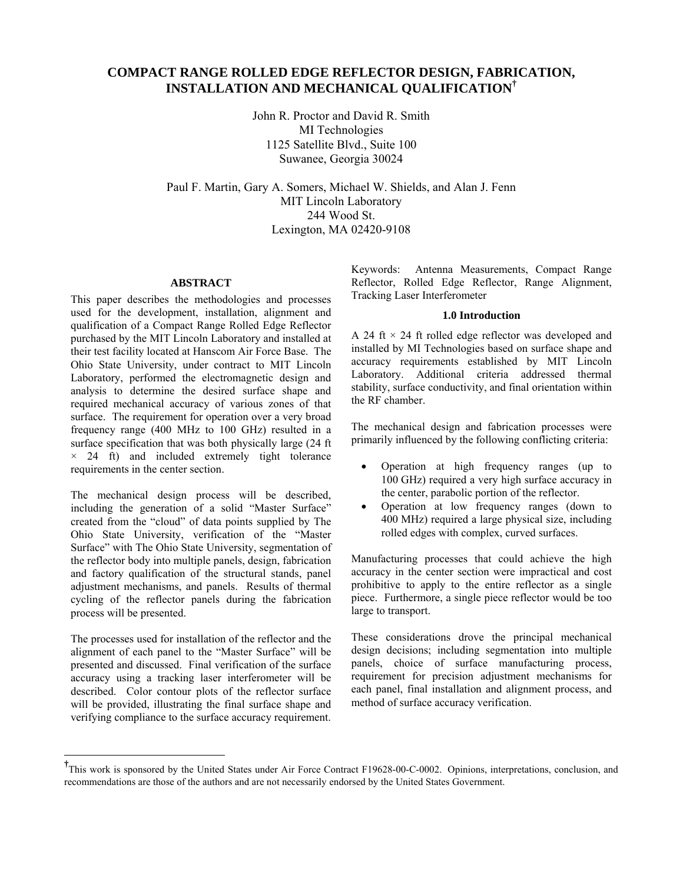# **COMPACT RANGE ROLLED EDGE REFLECTOR DESIGN, FABRICATION, INSTALLATION AND MECHANICAL QUALIFICATION[†](#page-0-0)**

John R. Proctor and David R. Smith MI Technologies 1125 Satellite Blvd., Suite 100 Suwanee, Georgia 30024

Paul F. Martin, Gary A. Somers, Michael W. Shields, and Alan J. Fenn MIT Lincoln Laboratory 244 Wood St. Lexington, MA 02420-9108

# **ABSTRACT**

This paper describes the methodologies and processes used for the development, installation, alignment and qualification of a Compact Range Rolled Edge Reflector purchased by the MIT Lincoln Laboratory and installed at their test facility located at Hanscom Air Force Base. The Ohio State University, under contract to MIT Lincoln Laboratory, performed the electromagnetic design and analysis to determine the desired surface shape and required mechanical accuracy of various zones of that surface. The requirement for operation over a very broad frequency range (400 MHz to 100 GHz) resulted in a surface specification that was both physically large (24 ft  $\times$  24 ft) and included extremely tight tolerance requirements in the center section.

The mechanical design process will be described, including the generation of a solid "Master Surface" created from the "cloud" of data points supplied by The Ohio State University, verification of the "Master Surface" with The Ohio State University, segmentation of the reflector body into multiple panels, design, fabrication and factory qualification of the structural stands, panel adjustment mechanisms, and panels. Results of thermal cycling of the reflector panels during the fabrication process will be presented.

The processes used for installation of the reflector and the alignment of each panel to the "Master Surface" will be presented and discussed. Final verification of the surface accuracy using a tracking laser interferometer will be described. Color contour plots of the reflector surface will be provided, illustrating the final surface shape and verifying compliance to the surface accuracy requirement.

-

Keywords: Antenna Measurements, Compact Range Reflector, Rolled Edge Reflector, Range Alignment, Tracking Laser Interferometer

#### **1.0 Introduction**

A 24 ft  $\times$  24 ft rolled edge reflector was developed and installed by MI Technologies based on surface shape and accuracy requirements established by MIT Lincoln Laboratory. Additional criteria addressed thermal stability, surface conductivity, and final orientation within the RF chamber.

The mechanical design and fabrication processes were primarily influenced by the following conflicting criteria:

- Operation at high frequency ranges (up to 100 GHz) required a very high surface accuracy in the center, parabolic portion of the reflector.
- Operation at low frequency ranges (down to 400 MHz) required a large physical size, including rolled edges with complex, curved surfaces.

Manufacturing processes that could achieve the high accuracy in the center section were impractical and cost prohibitive to apply to the entire reflector as a single piece. Furthermore, a single piece reflector would be too large to transport.

These considerations drove the principal mechanical design decisions; including segmentation into multiple panels, choice of surface manufacturing process, requirement for precision adjustment mechanisms for each panel, final installation and alignment process, and method of surface accuracy verification.

<span id="page-0-0"></span><sup>&</sup>lt;sup>†</sup>This work is sponsored by the United States under Air Force Contract F19628-00-C-0002. Opinions, interpretations, conclusion, and recommendations are those of the authors and are not necessarily endorsed by the United States Government.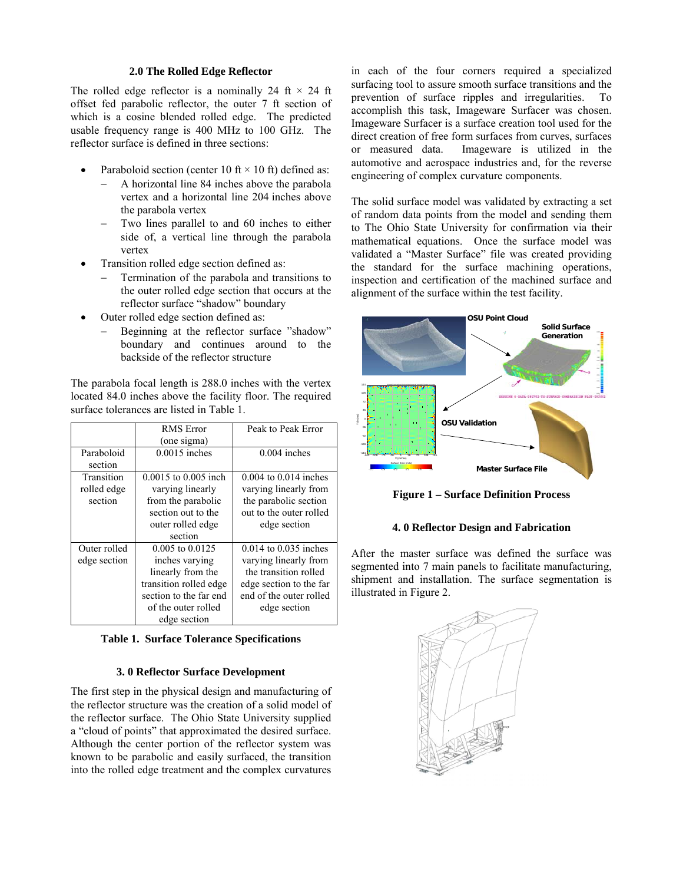#### **2.0 The Rolled Edge Reflector**

The rolled edge reflector is a nominally 24 ft  $\times$  24 ft offset fed parabolic reflector, the outer 7 ft section of which is a cosine blended rolled edge. The predicted usable frequency range is 400 MHz to 100 GHz. The reflector surface is defined in three sections:

- Paraboloid section (center 10 ft  $\times$  10 ft) defined as:
	- − A horizontal line 84 inches above the parabola vertex and a horizontal line 204 inches above the parabola vertex
	- Two lines parallel to and 60 inches to either side of, a vertical line through the parabola vertex
- Transition rolled edge section defined as:
	- Termination of the parabola and transitions to the outer rolled edge section that occurs at the reflector surface "shadow" boundary
- Outer rolled edge section defined as:
	- Beginning at the reflector surface "shadow" boundary and continues around to the backside of the reflector structure

The parabola focal length is 288.0 inches with the vertex located 84.0 inches above the facility floor. The required surface tolerances are listed in [Table 1.](#page-1-0)

|              | <b>RMS</b> Error       | Peak to Peak Error        |
|--------------|------------------------|---------------------------|
|              | (one sigma)            |                           |
| Paraboloid   | $0.0015$ inches        | $0.004$ inches            |
| section      |                        |                           |
| Transition   | 0.0015 to 0.005 inch   | $0.004$ to $0.014$ inches |
| rolled edge  | varying linearly       | varying linearly from     |
| section      | from the parabolic     | the parabolic section     |
|              | section out to the     | out to the outer rolled   |
|              | outer rolled edge      | edge section              |
|              | section                |                           |
| Outer rolled | 0.005 to 0.0125        | 0.014 to 0.035 inches     |
| edge section | inches varying         | varying linearly from     |
|              | linearly from the      | the transition rolled     |
|              | transition rolled edge | edge section to the far   |
|              | section to the far end | end of the outer rolled   |
|              | of the outer rolled    | edge section              |
|              | edge section           |                           |

<span id="page-1-0"></span>**Table 1. Surface Tolerance Specifications** 

### **3. 0 Reflector Surface Development**

The first step in the physical design and manufacturing of the reflector structure was the creation of a solid model of the reflector surface. The Ohio State University supplied a "cloud of points" that approximated the desired surface. Although the center portion of the reflector system was known to be parabolic and easily surfaced, the transition into the rolled edge treatment and the complex curvatures

in each of the four corners required a specialized surfacing tool to assure smooth surface transitions and the prevention of surface ripples and irregularities. To accomplish this task, Imageware Surfacer was chosen. Imageware Surfacer is a surface creation tool used for the direct creation of free form surfaces from curves, surfaces or measured data. Imageware is utilized in the automotive and aerospace industries and, for the reverse engineering of complex curvature components.

The solid surface model was validated by extracting a set of random data points from the model and sending them to The Ohio State University for confirmation via their mathematical equations. Once the surface model was validated a "Master Surface" file was created providing the standard for the surface machining operations, inspection and certification of the machined surface and alignment of the surface within the test facility.



**Figure 1 – Surface Definition Process** 

# **4. 0 Reflector Design and Fabrication**

After the master surface was defined the surface was segmented into 7 main panels to facilitate manufacturing, shipment and installation. The surface segmentation is illustrated in Figure 2.

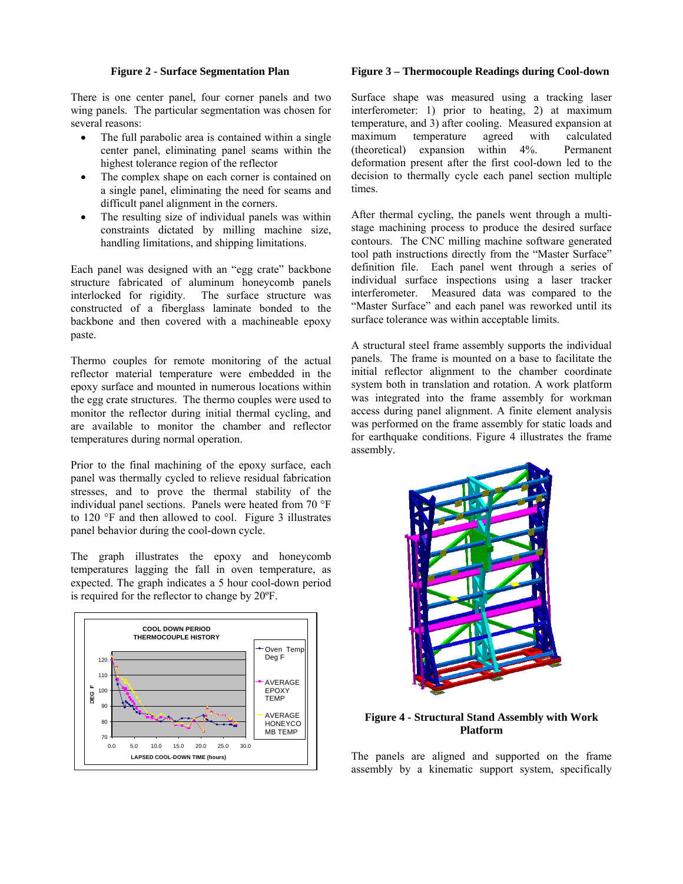#### **Figure 2 - Surface Segmentation Plan**

There is one center panel, four corner panels and two wing panels. The particular segmentation was chosen for several reasons:

- The full parabolic area is contained within a single center panel, eliminating panel seams within the highest tolerance region of the reflector
- The complex shape on each corner is contained on a single panel, eliminating the need for seams and difficult panel alignment in the corners.
- The resulting size of individual panels was within constraints dictated by milling machine size, handling limitations, and shipping limitations.

Each panel was designed with an "egg crate" backbone structure fabricated of aluminum honeycomb panels interlocked for rigidity. The surface structure was constructed of a fiberglass laminate bonded to the backbone and then covered with a machineable epoxy paste.

Thermo couples for remote monitoring of the actual reflector material temperature were embedded in the epoxy surface and mounted in numerous locations within the egg crate structures. The thermo couples were used to monitor the reflector during initial thermal cycling, and are available to monitor the chamber and reflector temperatures during normal operation.

Prior to the final machining of the epoxy surface, each panel was thermally cycled to relieve residual fabrication stresses, and to prove the thermal stability of the individual panel sections. Panels were heated from 70 °F to 120 °F and then allowed to cool. Figure 3 illustrates panel behavior during the cool-down cycle.

The graph illustrates the epoxy and honeycomb temperatures lagging the fall in oven temperature, as expected. The graph indicates a 5 hour cool-down period is required for the reflector to change by 20ºF.



#### **Figure 3 – Thermocouple Readings during Cool-down**

Surface shape was measured using a tracking laser interferometer: 1) prior to heating, 2) at maximum temperature, and 3) after cooling. Measured expansion at maximum temperature agreed with calculated (theoretical) expansion within 4%. Permanent deformation present after the first cool-down led to the decision to thermally cycle each panel section multiple times.

After thermal cycling, the panels went through a multistage machining process to produce the desired surface contours. The CNC milling machine software generated tool path instructions directly from the "Master Surface" definition file. Each panel went through a series of individual surface inspections using a laser tracker interferometer. Measured data was compared to the "Master Surface" and each panel was reworked until its surface tolerance was within acceptable limits.

A structural steel frame assembly supports the individual panels. The frame is mounted on a base to facilitate the initial reflector alignment to the chamber coordinate system both in translation and rotation. A work platform was integrated into the frame assembly for workman access during panel alignment. A finite element analysis was performed on the frame assembly for static loads and for earthquake conditions. Figure 4 illustrates the frame assembly.



**Figure 4 - Structural Stand Assembly with Work Platform** 

The panels are aligned and supported on the frame assembly by a kinematic support system, specifically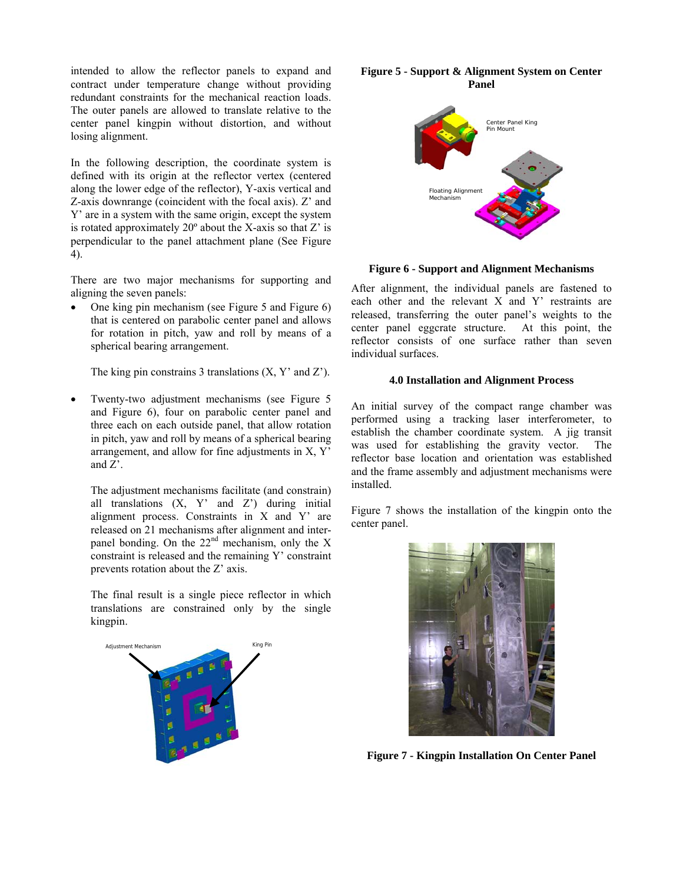intended to allow the reflector panels to expand and contract under temperature change without providing redundant constraints for the mechanical reaction loads. The outer panels are allowed to translate relative to the center panel kingpin without distortion, and without losing alignment.

In the following description, the coordinate system is defined with its origin at the reflector vertex (centered along the lower edge of the reflector), Y-axis vertical and Z-axis downrange (coincident with the focal axis). Z' and Y' are in a system with the same origin, except the system is rotated approximately  $20^{\circ}$  about the X-axis so that Z' is perpendicular to the panel attachment plane (See Figure 4).

There are two major mechanisms for supporting and aligning the seven panels:

• One king pin mechanism (see [Figure 5](#page-3-0) and Figure 6) that is centered on parabolic center panel and allows for rotation in pitch, yaw and roll by means of a spherical bearing arrangement.

The king pin constrains 3 translations  $(X, Y'$  and  $Z'$ ).

Twenty-two adjustment mechanisms (see [Figure 5](#page-3-0) and Figure 6), four on parabolic center panel and three each on each outside panel, that allow rotation in pitch, yaw and roll by means of a spherical bearing arrangement, and allow for fine adjustments in X, Y' and Z'.

The adjustment mechanisms facilitate (and constrain) all translations  $(X, Y'$  and  $Z'$ ) during initial alignment process. Constraints in X and Y' are released on 21 mechanisms after alignment and interpanel bonding. On the  $22<sup>nd</sup>$  mechanism, only the X constraint is released and the remaining Y' constraint prevents rotation about the Z' axis.

The final result is a single piece reflector in which translations are constrained only by the single kingpin.



<span id="page-3-0"></span>



**Figure 6 - Support and Alignment Mechanisms** 

After alignment, the individual panels are fastened to each other and the relevant X and Y' restraints are released, transferring the outer panel's weights to the center panel eggcrate structure. At this point, the reflector consists of one surface rather than seven individual surfaces.

# **4.0 Installation and Alignment Process**

An initial survey of the compact range chamber was performed using a tracking laser interferometer, to establish the chamber coordinate system. A jig transit was used for establishing the gravity vector. The reflector base location and orientation was established and the frame assembly and adjustment mechanisms were installed.

Figure 7 shows the installation of the kingpin onto the center panel.



**Figure 7 - Kingpin Installation On Center Panel**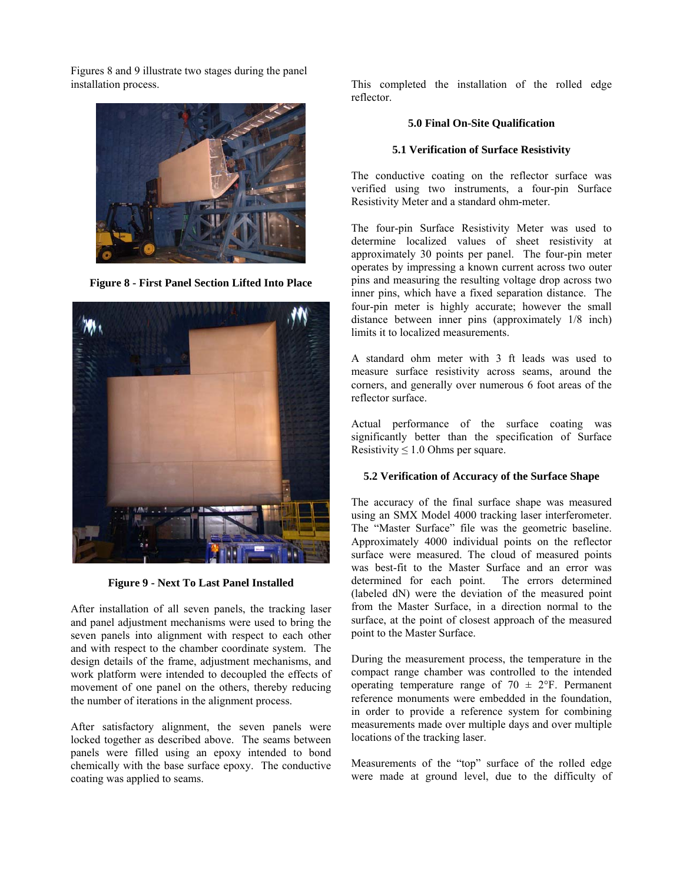Figures 8 and 9 illustrate two stages during the panel installation process.



**Figure 8 - First Panel Section Lifted Into Place** 



**Figure 9 - Next To Last Panel Installed** 

After installation of all seven panels, the tracking laser and panel adjustment mechanisms were used to bring the seven panels into alignment with respect to each other and with respect to the chamber coordinate system. The design details of the frame, adjustment mechanisms, and work platform were intended to decoupled the effects of movement of one panel on the others, thereby reducing the number of iterations in the alignment process.

After satisfactory alignment, the seven panels were locked together as described above. The seams between panels were filled using an epoxy intended to bond chemically with the base surface epoxy. The conductive coating was applied to seams.

This completed the installation of the rolled edge reflector.

# **5.0 Final On-Site Qualification**

#### **5.1 Verification of Surface Resistivity**

The conductive coating on the reflector surface was verified using two instruments, a four-pin Surface Resistivity Meter and a standard ohm-meter.

The four-pin Surface Resistivity Meter was used to determine localized values of sheet resistivity at approximately 30 points per panel. The four-pin meter operates by impressing a known current across two outer pins and measuring the resulting voltage drop across two inner pins, which have a fixed separation distance. The four-pin meter is highly accurate; however the small distance between inner pins (approximately 1/8 inch) limits it to localized measurements.

A standard ohm meter with 3 ft leads was used to measure surface resistivity across seams, around the corners, and generally over numerous 6 foot areas of the reflector surface.

Actual performance of the surface coating was significantly better than the specification of Surface Resistivity  $\leq 1.0$  Ohms per square.

### **5.2 Verification of Accuracy of the Surface Shape**

The accuracy of the final surface shape was measured using an SMX Model 4000 tracking laser interferometer. The "Master Surface" file was the geometric baseline. Approximately 4000 individual points on the reflector surface were measured. The cloud of measured points was best-fit to the Master Surface and an error was determined for each point. The errors determined (labeled dN) were the deviation of the measured point from the Master Surface, in a direction normal to the surface, at the point of closest approach of the measured point to the Master Surface.

During the measurement process, the temperature in the compact range chamber was controlled to the intended operating temperature range of  $70 \pm 2$ °F. Permanent reference monuments were embedded in the foundation, in order to provide a reference system for combining measurements made over multiple days and over multiple locations of the tracking laser.

Measurements of the "top" surface of the rolled edge were made at ground level, due to the difficulty of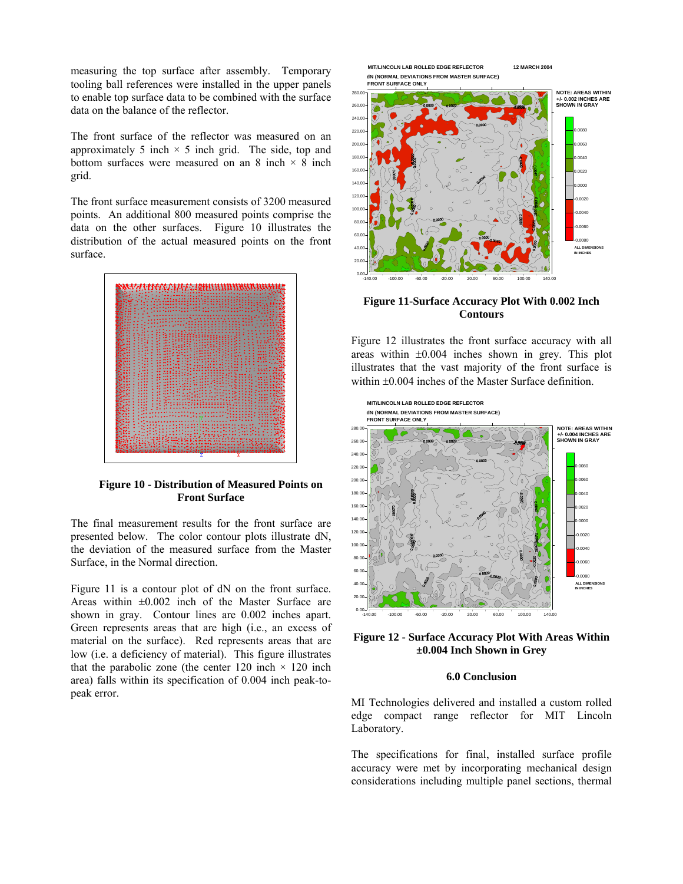measuring the top surface after assembly. Temporary tooling ball references were installed in the upper panels to enable top surface data to be combined with the surface data on the balance of the reflector.

The front surface of the reflector was measured on an approximately 5 inch  $\times$  5 inch grid. The side, top and bottom surfaces were measured on an 8 inch  $\times$  8 inch grid.

The front surface measurement consists of 3200 measured points. An additional 800 measured points comprise the data on the other surfaces. Figure 10 illustrates the distribution of the actual measured points on the front surface.



**Figure 10 - Distribution of Measured Points on Front Surface** 

The final measurement results for the front surface are presented below. The color contour plots illustrate dN, the deviation of the measured surface from the Master Surface, in the Normal direction.

Figure 11 is a contour plot of dN on the front surface. Areas within  $\pm 0.002$  inch of the Master Surface are shown in gray. Contour lines are 0.002 inches apart. Green represents areas that are high (i.e., an excess of material on the surface). Red represents areas that are low (i.e. a deficiency of material). This figure illustrates that the parabolic zone (the center 120 inch  $\times$  120 inch area) falls within its specification of 0.004 inch peak-topeak error.

**MIT/LINCOLN LAB ROLLED EDGE REFLECTOR dN (NORMAL DEVIATIONS FROM MASTER SURFACE) FRONT SURFACE ONLY 12 MARCH 2004**



**Figure 11-Surface Accuracy Plot With 0.002 Inch Contours** 

Figure 12 illustrates the front surface accuracy with all areas within  $\pm 0.004$  inches shown in grey. This plot illustrates that the vast majority of the front surface is within ±0.004 inches of the Master Surface definition.



**Figure 12 - Surface Accuracy Plot With Areas Within ±0.004 Inch Shown in Grey** 

# **6.0 Conclusion**

MI Technologies delivered and installed a custom rolled edge compact range reflector for MIT Lincoln Laboratory.

The specifications for final, installed surface profile accuracy were met by incorporating mechanical design considerations including multiple panel sections, thermal